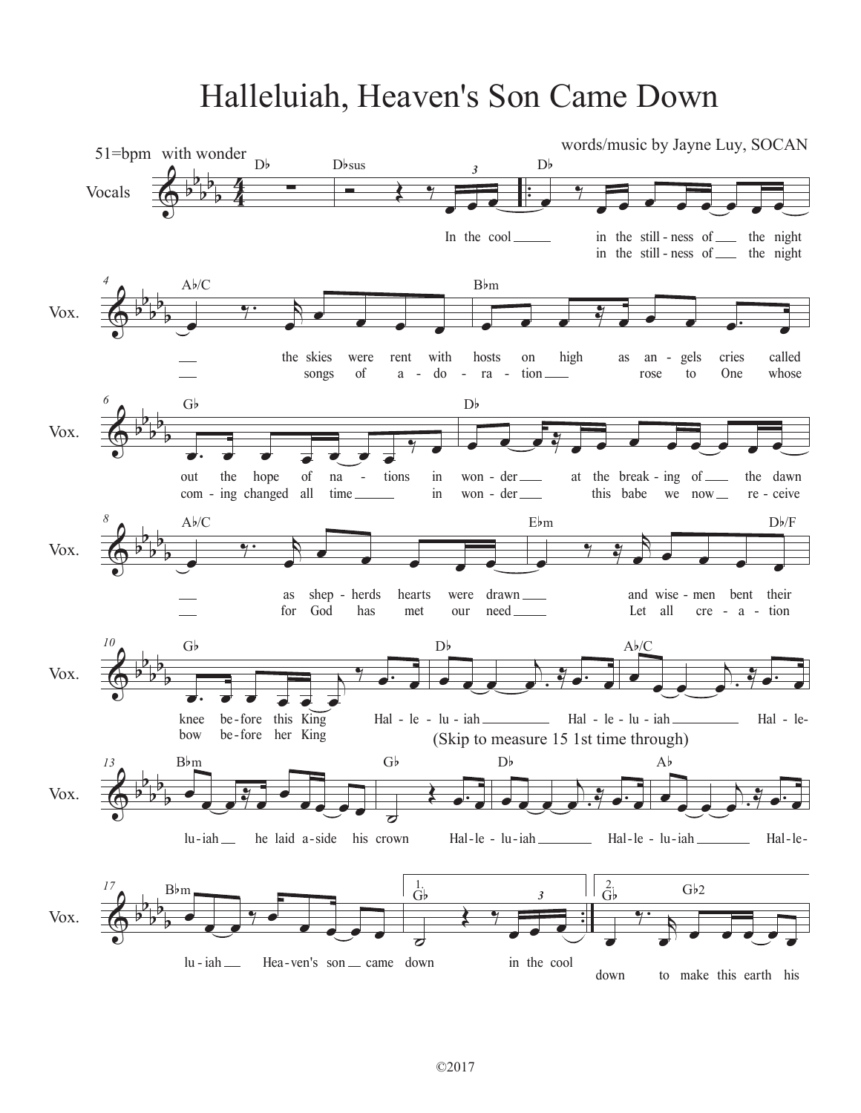## Halleluiah, Heaven's Son Came Down